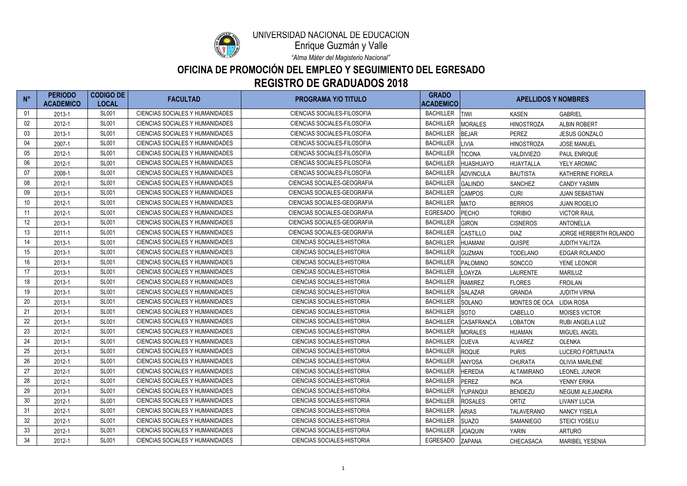| $N^{\circ}$     | <b>PERIODO</b><br><b>ACADEMICO</b> | <b>CODIGO DE</b><br><b>LOCAL</b> | <b>FACULTAD</b>                        | <b>PROGRAMA Y/O TITULO</b>         | <b>GRADO</b><br><b>ACADEMICO</b> | <b>APELLIDOS Y NOMBRES</b>           |                          |
|-----------------|------------------------------------|----------------------------------|----------------------------------------|------------------------------------|----------------------------------|--------------------------------------|--------------------------|
| 01              | 2013-1                             | <b>SL001</b>                     | <b>CIENCIAS SOCIALES Y HUMANIDADES</b> | <b>CIENCIAS SOCIALES-FILOSOFIA</b> | <b>BACHILLER</b>                 | <b>TIWI</b><br><b>KASEN</b>          | <b>GABRIEL</b>           |
| 02              | 2012-1                             | <b>SL001</b>                     | <b>CIENCIAS SOCIALES Y HUMANIDADES</b> | CIENCIAS SOCIALES-FILOSOFIA        | <b>BACHILLER</b>                 | <b>MORALES</b><br><b>HINOSTROZA</b>  | <b>ALBIN ROBERT</b>      |
| 03              | 2013-1                             | <b>SL001</b>                     | <b>CIENCIAS SOCIALES Y HUMANIDADES</b> | <b>CIENCIAS SOCIALES-FILOSOFIA</b> | <b>BACHILLER</b>                 | <b>BEJAR</b><br><b>PEREZ</b>         | <b>JESUS GONZALO</b>     |
| 04              | 2007-1                             | <b>SL001</b>                     | <b>CIENCIAS SOCIALES Y HUMANIDADES</b> | <b>CIENCIAS SOCIALES-FILOSOFIA</b> | <b>BACHILLER</b>                 | LIVIA<br><b>HINOSTROZA</b>           | <b>JOSE MANUEL</b>       |
| 05              | 2012-1                             | <b>SL001</b>                     | <b>CIENCIAS SOCIALES Y HUMANIDADES</b> | <b>CIENCIAS SOCIALES-FILOSOFIA</b> | <b>BACHILLER</b>                 | <b>TICONA</b><br><b>VALDIVIEZO</b>   | PAUL ENRIQUE             |
| 06              | 2012-1                             | <b>SL001</b>                     | <b>CIENCIAS SOCIALES Y HUMANIDADES</b> | <b>CIENCIAS SOCIALES-FILOSOFIA</b> | <b>BACHILLER</b>                 | <b>HUASHUAYO</b><br><b>HUAYTALLA</b> | YELY AROMAC              |
| 07              | 2008-1                             | <b>SL001</b>                     | <b>CIENCIAS SOCIALES Y HUMANIDADES</b> | CIENCIAS SOCIALES-FILOSOFIA        | <b>BACHILLER</b>                 | ADVINCULA<br><b>BAUTISTA</b>         | <b>KATHERINE FIORELA</b> |
| 08              | 2012-1                             | <b>SL001</b>                     | <b>CIENCIAS SOCIALES Y HUMANIDADES</b> | <b>CIENCIAS SOCIALES-GEOGRAFIA</b> | <b>BACHILLER</b>                 | <b>GALINDO</b><br><b>SANCHEZ</b>     | <b>CANDY YASMIN</b>      |
| 09              | 2013-1                             | <b>SL001</b>                     | CIENCIAS SOCIALES Y HUMANIDADES        | CIENCIAS SOCIALES-GEOGRAFIA        | <b>BACHILLER</b>                 | <b>CAMPOS</b><br><b>CURI</b>         | <b>JUAN SEBASTIAN</b>    |
| 10              | 2012-1                             | <b>SL001</b>                     | CIENCIAS SOCIALES Y HUMANIDADES        | <b>CIENCIAS SOCIALES-GEOGRAFIA</b> | <b>BACHILLER</b>                 | <b>MATO</b><br><b>BERRIOS</b>        | <b>JUAN ROGELIO</b>      |
| 11              | 2012-1                             | <b>SL001</b>                     | CIENCIAS SOCIALES Y HUMANIDADES        | <b>CIENCIAS SOCIALES-GEOGRAFIA</b> | <b>EGRESADO</b>                  | PECHO<br><b>TORIBIO</b>              | <b>VICTOR RAUL</b>       |
| $12 \,$         | 2013-1                             | <b>SL001</b>                     | CIENCIAS SOCIALES Y HUMANIDADES        | <b>CIENCIAS SOCIALES-GEOGRAFIA</b> | <b>BACHILLER</b>                 | <b>GIRON</b><br><b>CISNEROS</b>      | <b>ANTONELLA</b>         |
| 13              | 2011-1                             | <b>SL001</b>                     | CIENCIAS SOCIALES Y HUMANIDADES        | CIENCIAS SOCIALES-GEOGRAFIA        | <b>BACHILLER</b>                 | <b>CASTILLO</b><br><b>DIAZ</b>       | JORGE HERBERTH ROLANDO   |
| 14              | 2013-1                             | <b>SL001</b>                     | <b>CIENCIAS SOCIALES Y HUMANIDADES</b> | <b>CIENCIAS SOCIALES-HISTORIA</b>  | <b>BACHILLER</b>                 | <b>HUAMANI</b><br><b>QUISPE</b>      | <b>JUDITH YALITZA</b>    |
| 15              | 2013-1                             | <b>SL001</b>                     | <b>CIENCIAS SOCIALES Y HUMANIDADES</b> | <b>CIENCIAS SOCIALES-HISTORIA</b>  | <b>BACHILLER</b>                 | <b>GUZMAN</b><br><b>TODELANO</b>     | EDGAR ROLANDO            |
| 16              | 2013-1                             | <b>SL001</b>                     | CIENCIAS SOCIALES Y HUMANIDADES        | <b>CIENCIAS SOCIALES-HISTORIA</b>  | <b>BACHILLER</b>                 | PALOMINO<br>SONCCO                   | YENE LEONOR              |
| 17              | 2013-1                             | <b>SL001</b>                     | <b>CIENCIAS SOCIALES Y HUMANIDADES</b> | <b>CIENCIAS SOCIALES-HISTORIA</b>  | <b>BACHILLER</b>                 | <b>LOAYZA</b><br><b>LAURENTE</b>     | <b>MARILUZ</b>           |
| 18              | 2013-1                             | <b>SL001</b>                     | CIENCIAS SOCIALES Y HUMANIDADES        | <b>CIENCIAS SOCIALES-HISTORIA</b>  | <b>BACHILLER</b>                 | <b>RAMIREZ</b><br><b>FLORES</b>      | <b>FROILAN</b>           |
| 19              | 2013-1                             | <b>SL001</b>                     | CIENCIAS SOCIALES Y HUMANIDADES        | <b>CIENCIAS SOCIALES-HISTORIA</b>  | <b>BACHILLER</b>                 | <b>SALAZAR</b><br><b>GRANDA</b>      | <b>JUDITH VIRNA</b>      |
| 20              | 2013-1                             | <b>SL001</b>                     | CIENCIAS SOCIALES Y HUMANIDADES        | <b>CIENCIAS SOCIALES-HISTORIA</b>  | <b>BACHILLER</b>                 | <b>SOLANO</b><br>MONTES DE OCA       | <b>LIDIA ROSA</b>        |
| 21              | 2013-1                             | <b>SL001</b>                     | <b>CIENCIAS SOCIALES Y HUMANIDADES</b> | <b>CIENCIAS SOCIALES-HISTORIA</b>  | <b>BACHILLER</b>                 | <b>SOTO</b><br>CABELLO               | MOISES VICTOR            |
| 22              | 2013-1                             | <b>SL001</b>                     | <b>CIENCIAS SOCIALES Y HUMANIDADES</b> | <b>CIENCIAS SOCIALES-HISTORIA</b>  | <b>BACHILLER</b>                 | <b>CASAFRANCA</b><br><b>LOBATON</b>  | RUBI ANGELA LUZ          |
| 23              | 2012-1                             | <b>SL001</b>                     | CIENCIAS SOCIALES Y HUMANIDADES        | <b>CIENCIAS SOCIALES-HISTORIA</b>  | <b>BACHILLER</b>                 | <b>MORALES</b><br><b>HUAMAN</b>      | MIGUEL ANGEL             |
| 24              | 2013-1                             | <b>SL001</b>                     | CIENCIAS SOCIALES Y HUMANIDADES        | <b>CIENCIAS SOCIALES-HISTORIA</b>  | <b>BACHILLER</b>                 | <b>CUEVA</b><br><b>ALVAREZ</b>       | <b>OLENKA</b>            |
| 25              | 2013-1                             | <b>SL001</b>                     | CIENCIAS SOCIALES Y HUMANIDADES        | <b>CIENCIAS SOCIALES-HISTORIA</b>  | <b>BACHILLER</b>                 | ROQUE<br><b>PURIS</b>                | LUCERO FORTUNATA         |
| 26              | 2012-1                             | <b>SL001</b>                     | CIENCIAS SOCIALES Y HUMANIDADES        | <b>CIENCIAS SOCIALES-HISTORIA</b>  | <b>BACHILLER</b>                 | <b>ANYOSA</b><br><b>CHURATA</b>      | <b>OLIVIA MARLENE</b>    |
| 27              | 2012-1                             | <b>SL001</b>                     | CIENCIAS SOCIALES Y HUMANIDADES        | <b>CIENCIAS SOCIALES-HISTORIA</b>  | <b>BACHILLER</b>                 | <b>HEREDIA</b><br>ALTAMIRANO         | LEONEL JUNIOR            |
| 28              | 2012-1                             | <b>SL001</b>                     | CIENCIAS SOCIALES Y HUMANIDADES        | <b>CIENCIAS SOCIALES-HISTORIA</b>  | <b>BACHILLER</b>                 | PEREZ<br>INCA                        | YENNY ERIKA              |
| 29              | 2013-1                             | <b>SL001</b>                     | CIENCIAS SOCIALES Y HUMANIDADES        | <b>CIENCIAS SOCIALES-HISTORIA</b>  | <b>BACHILLER</b>                 | YUPANQUI<br><b>BENDEZU</b>           | NEGUMI ALEJANDRA         |
| 30 <sup>°</sup> | 2012-1                             | <b>SL001</b>                     | CIENCIAS SOCIALES Y HUMANIDADES        | <b>CIENCIAS SOCIALES-HISTORIA</b>  | <b>BACHILLER</b>                 | <b>ROSALES</b><br>ORTIZ              | <b>LIVANY LUCIA</b>      |
| 31              | 2012-1                             | <b>SL001</b>                     | CIENCIAS SOCIALES Y HUMANIDADES        | <b>CIENCIAS SOCIALES-HISTORIA</b>  | <b>BACHILLER</b>                 | <b>ARIAS</b><br><b>TALAVERANO</b>    | <b>NANCY YISELA</b>      |
| 32              | 2012-1                             | <b>SL001</b>                     | CIENCIAS SOCIALES Y HUMANIDADES        | <b>CIENCIAS SOCIALES-HISTORIA</b>  | <b>BACHILLER</b>                 | <b>SUAZO</b><br>SAMANIEGO            | <b>STEICI YOSELU</b>     |
| 33              | 2012-1                             | <b>SL001</b>                     | CIENCIAS SOCIALES Y HUMANIDADES        | <b>CIENCIAS SOCIALES-HISTORIA</b>  | <b>BACHILLER</b>                 | <b>JOAQUIN</b><br><b>YARIN</b>       | <b>ARTURO</b>            |
| 34              | 2012-1                             | <b>SL001</b>                     | CIENCIAS SOCIALES Y HUMANIDADES        | <b>CIENCIAS SOCIALES-HISTORIA</b>  | EGRESADO                         | <b>ZAPANA</b><br><b>CHECASACA</b>    | <b>MARIBEL YESENIA</b>   |



Enrique Guzmán y Valle

*"Alma Máter del Magisterio Nacional"*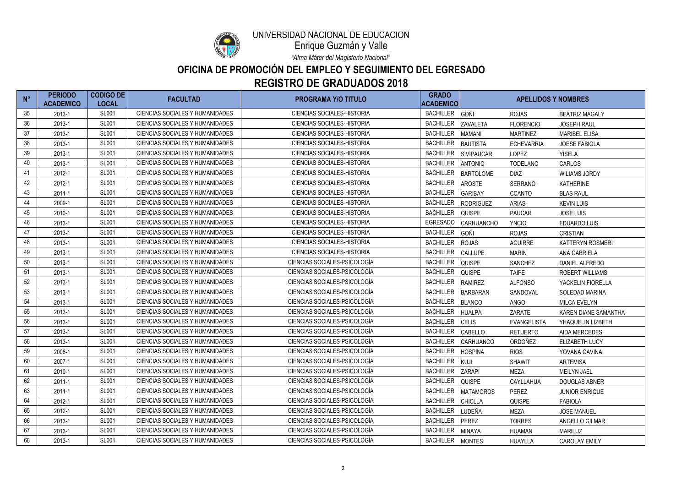

Enrique Guzmán y Valle

*"Alma Máter del Magisterio Nacional"*

| $N^{\circ}$ | <b>PERIODO</b><br><b>ACADEMICO</b> | <b>CODIGO DE</b><br><b>LOCAL</b> | <b>FACULTAD</b>                        | <b>PROGRAMA Y/O TITULO</b>        | <b>GRADO</b><br><b>ACADEMICO</b> |                   | <b>APELLIDOS Y NOMBRES</b> |                         |  |
|-------------|------------------------------------|----------------------------------|----------------------------------------|-----------------------------------|----------------------------------|-------------------|----------------------------|-------------------------|--|
| 35          | 2013-1                             | <b>SL001</b>                     | CIENCIAS SOCIALES Y HUMANIDADES        | <b>CIENCIAS SOCIALES-HISTORIA</b> | <b>BACHILLER</b>                 | GOÑI              | <b>ROJAS</b>               | <b>BEATRIZ MAGALY</b>   |  |
| 36          | 2013-1                             | <b>SL001</b>                     | CIENCIAS SOCIALES Y HUMANIDADES        | <b>CIENCIAS SOCIALES-HISTORIA</b> | <b>BACHILLER</b>                 | <b>ZAVALETA</b>   | <b>FLORENCIO</b>           | <b>JOSEPH RAUL</b>      |  |
| 37          | 2013-1                             | <b>SL001</b>                     | CIENCIAS SOCIALES Y HUMANIDADES        | <b>CIENCIAS SOCIALES-HISTORIA</b> | <b>BACHILLER</b>                 | <b>MAMANI</b>     | <b>MARTINEZ</b>            | <b>MARIBEL ELISA</b>    |  |
| 38          | 2013-1                             | <b>SL001</b>                     | CIENCIAS SOCIALES Y HUMANIDADES        | <b>CIENCIAS SOCIALES-HISTORIA</b> | <b>BACHILLER</b>                 | <b>BAUTISTA</b>   | <b>ECHEVARRIA</b>          | <b>JOESE FABIOLA</b>    |  |
| 39          | 2013-1                             | <b>SL001</b>                     | CIENCIAS SOCIALES Y HUMANIDADES        | <b>CIENCIAS SOCIALES-HISTORIA</b> | <b>BACHILLER</b>                 | <b>SIVIPAUCAR</b> | <b>LOPEZ</b>               | <b>YISELA</b>           |  |
| 40          | 2013-1                             | <b>SL001</b>                     | CIENCIAS SOCIALES Y HUMANIDADES        | <b>CIENCIAS SOCIALES-HISTORIA</b> | <b>BACHILLER</b>                 | <b>ANTONIO</b>    | <b>TODELANO</b>            | CARLOS                  |  |
| 41          | 2012-1                             | <b>SL001</b>                     | <b>CIENCIAS SOCIALES Y HUMANIDADES</b> | <b>CIENCIAS SOCIALES-HISTORIA</b> | <b>BACHILLER</b>                 | <b>BARTOLOME</b>  | <b>DIAZ</b>                | <b>WILIAMS JORDY</b>    |  |
| 42          | 2012-1                             | <b>SL001</b>                     | <b>CIENCIAS SOCIALES Y HUMANIDADES</b> | <b>CIENCIAS SOCIALES-HISTORIA</b> | <b>BACHILLER</b>                 | <b>AROSTE</b>     | <b>SERRANO</b>             | <b>KATHERINE</b>        |  |
| 43          | $2011 - 1$                         | <b>SL001</b>                     | <b>CIENCIAS SOCIALES Y HUMANIDADES</b> | <b>CIENCIAS SOCIALES-HISTORIA</b> | <b>BACHILLER</b>                 | <b>GARIBAY</b>    | <b>CCANTO</b>              | <b>BLAS RAUL</b>        |  |
| 44          | 2009-1                             | <b>SL001</b>                     | <b>CIENCIAS SOCIALES Y HUMANIDADES</b> | <b>CIENCIAS SOCIALES-HISTORIA</b> | <b>BACHILLER</b>                 | <b>RODRIGUEZ</b>  | <b>ARIAS</b>               | <b>KEVIN LUIS</b>       |  |
| 45          | 2010-1                             | <b>SL001</b>                     | CIENCIAS SOCIALES Y HUMANIDADES        | <b>CIENCIAS SOCIALES-HISTORIA</b> | <b>BACHILLER</b>                 | <b>QUISPE</b>     | <b>PAUCAR</b>              | <b>JOSE LUIS</b>        |  |
| 46          | 2013-1                             | <b>SL001</b>                     | CIENCIAS SOCIALES Y HUMANIDADES        | <b>CIENCIAS SOCIALES-HISTORIA</b> | <b>EGRESADO</b>                  | <b>CARHUANCHO</b> | <b>YNCIO</b>               | <b>EDUARDO LUIS</b>     |  |
| 47          | 2013-1                             | <b>SL001</b>                     | <b>CIENCIAS SOCIALES Y HUMANIDADES</b> | <b>CIENCIAS SOCIALES-HISTORIA</b> | <b>BACHILLER</b>                 | GOÑI              | <b>ROJAS</b>               | <b>CRISTIAN</b>         |  |
| 48          | 2013-1                             | <b>SL001</b>                     | <b>CIENCIAS SOCIALES Y HUMANIDADES</b> | <b>CIENCIAS SOCIALES-HISTORIA</b> | <b>BACHILLER</b>                 | <b>ROJAS</b>      | <b>AGUIRRE</b>             | <b>KATTERYN ROSMERI</b> |  |
| 49          | 2013-1                             | <b>SL001</b>                     | <b>CIENCIAS SOCIALES Y HUMANIDADES</b> | <b>CIENCIAS SOCIALES-HISTORIA</b> | <b>BACHILLER</b>                 | <b>CALLUPE</b>    | <b>MARIN</b>               | <b>ANA GABRIELA</b>     |  |
| 50          | 2013-1                             | <b>SL001</b>                     | <b>CIENCIAS SOCIALES Y HUMANIDADES</b> | CIENCIAS SOCIALES-PSICOLOGÍA      | <b>BACHILLER</b>                 | <b>QUISPE</b>     | <b>SANCHEZ</b>             | DANIEL ALFREDO          |  |
| 51          | 2013-1                             | <b>SL001</b>                     | <b>CIENCIAS SOCIALES Y HUMANIDADES</b> | CIENCIAS SOCIALES-PSICOLOGÍA      | <b>BACHILLER</b>                 | <b>QUISPE</b>     | <b>TAIPE</b>               | <b>ROBERT WILLIAMS</b>  |  |
| 52          | 2013-1                             | <b>SL001</b>                     | CIENCIAS SOCIALES Y HUMANIDADES        | CIENCIAS SOCIALES-PSICOLOGÍA      | <b>BACHILLER</b>                 | <b>RAMIREZ</b>    | <b>ALFONSO</b>             | YACKELIN FIORELLA       |  |
| 53          | 2013-1                             | <b>SL001</b>                     | CIENCIAS SOCIALES Y HUMANIDADES        | CIENCIAS SOCIALES-PSICOLOGÍA      | <b>BACHILLER</b>                 | <b>BARBARAN</b>   | SANDOVAL                   | <b>SOLEDAD MARINA</b>   |  |
| 54          | 2013-1                             | <b>SL001</b>                     | CIENCIAS SOCIALES Y HUMANIDADES        | CIENCIAS SOCIALES-PSICOLOGÍA      | <b>BACHILLER</b>                 | <b>BLANCO</b>     | <b>ANGO</b>                | <b>MILCA EVELYN</b>     |  |
| 55          | 2013-1                             | <b>SL001</b>                     | CIENCIAS SOCIALES Y HUMANIDADES        | CIENCIAS SOCIALES-PSICOLOGÍA      | <b>BACHILLER</b>                 | <b>HUALPA</b>     | ZARATE                     | KAREN DIANE SAMANTHA    |  |
| 56          | 2013-1                             | <b>SL001</b>                     | <b>CIENCIAS SOCIALES Y HUMANIDADES</b> | CIENCIAS SOCIALES-PSICOLOGÍA      | <b>BACHILLER</b>                 | <b>CELIS</b>      | <b>EVANGELISTA</b>         | YHAQUELIN LIZBETH       |  |
| 57          | 2013-1                             | <b>SL001</b>                     | <b>CIENCIAS SOCIALES Y HUMANIDADES</b> | CIENCIAS SOCIALES-PSICOLOGÍA      | <b>BACHILLER</b>                 | CABELLO           | <b>RETUERTO</b>            | <b>AIDA MERCEDES</b>    |  |
| 58          | 2013-1                             | <b>SL001</b>                     | <b>CIENCIAS SOCIALES Y HUMANIDADES</b> | CIENCIAS SOCIALES-PSICOLOGÍA      | <b>BACHILLER</b>                 | <b>CARHUANCO</b>  | ORDOÑEZ                    | ELIZABETH LUCY          |  |
| 59          | 2006-1                             | <b>SL001</b>                     | CIENCIAS SOCIALES Y HUMANIDADES        | CIENCIAS SOCIALES-PSICOLOGÍA      | <b>BACHILLER</b>                 | <b>HOSPINA</b>    | <b>RIOS</b>                | YOVANA GAVINA           |  |
| 60          | 2007-1                             | <b>SL001</b>                     | CIENCIAS SOCIALES Y HUMANIDADES        | CIENCIAS SOCIALES-PSICOLOGÍA      | <b>BACHILLER</b>                 | KUJI              | <b>SHAWIT</b>              | <b>ARTEMISA</b>         |  |
| 61          | 2010-1                             | <b>SL001</b>                     | <b>CIENCIAS SOCIALES Y HUMANIDADES</b> | CIENCIAS SOCIALES-PSICOLOGÍA      | <b>BACHILLER</b>                 | <b>ZARAPI</b>     | MEZA                       | <b>MEILYN JAEL</b>      |  |
| 62          | $2011 - 1$                         | <b>SL001</b>                     | <b>CIENCIAS SOCIALES Y HUMANIDADES</b> | CIENCIAS SOCIALES-PSICOLOGÍA      | <b>BACHILLER</b>                 | <b>QUISPE</b>     | CAYLLAHUA                  | <b>DOUGLAS ABNER</b>    |  |
| 63          | 2011-1                             | <b>SL001</b>                     | CIENCIAS SOCIALES Y HUMANIDADES        | CIENCIAS SOCIALES-PSICOLOGÍA      | <b>BACHILLER</b>                 | <b>MATAMOROS</b>  | <b>PEREZ</b>               | <b>JUNIOR ENRIQUE</b>   |  |
| 64          | 2012-1                             | <b>SL001</b>                     | CIENCIAS SOCIALES Y HUMANIDADES        | CIENCIAS SOCIALES-PSICOLOGÍA      | <b>BACHILLER</b>                 | <b>CHICLLA</b>    | <b>QUISPE</b>              | <b>FABIOLA</b>          |  |
| 65          | 2012-1                             | <b>SL001</b>                     | CIENCIAS SOCIALES Y HUMANIDADES        | CIENCIAS SOCIALES-PSICOLOGÍA      | <b>BACHILLER</b>                 | LUDEÑA            | MEZA                       | <b>JOSE MANUEL</b>      |  |
| 66          | 2013-1                             | <b>SL001</b>                     | CIENCIAS SOCIALES Y HUMANIDADES        | CIENCIAS SOCIALES-PSICOLOGÍA      | <b>BACHILLER</b>                 | PEREZ             | <b>TORRES</b>              | ANGELLO GILMAR          |  |
| 67          | 2013-1                             | <b>SL001</b>                     | CIENCIAS SOCIALES Y HUMANIDADES        | CIENCIAS SOCIALES-PSICOLOGÍA      | <b>BACHILLER</b>                 | <b>MINAYA</b>     | <b>HUAMAN</b>              | <b>MARILUZ</b>          |  |
| 68          | 2013-1                             | <b>SL001</b>                     | CIENCIAS SOCIALES Y HUMANIDADES        | CIENCIAS SOCIALES-PSICOLOGÍA      | <b>BACHILLER</b>                 | <b>MONTES</b>     | HUAYLLA                    | <b>CAROLAY EMILY</b>    |  |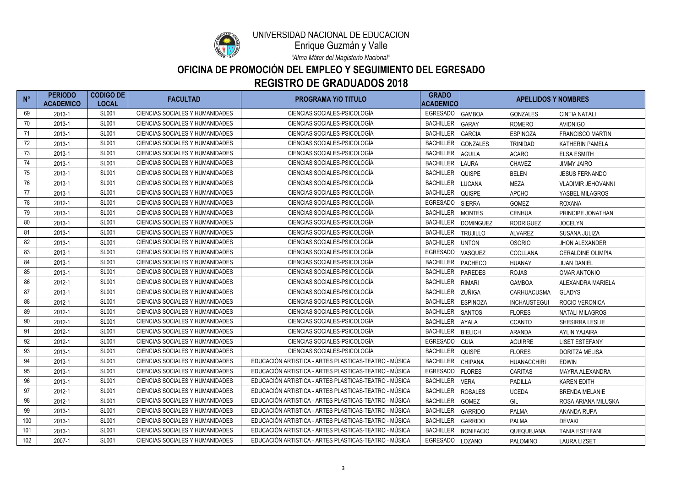

Enrique Guzmán y Valle

*"Alma Máter del Magisterio Nacional"*

| $N^{\circ}$ | <b>PERIODO</b><br><b>ACADEMICO</b> | <b>CODIGO DE</b><br><b>LOCAL</b> | <b>FACULTAD</b>                        | <b>PROGRAMA Y/O TITULO</b>                            | <b>GRADO</b><br><b>ACADEMICO</b> |                  | <b>APELLIDOS Y NOMBRES</b> |                           |
|-------------|------------------------------------|----------------------------------|----------------------------------------|-------------------------------------------------------|----------------------------------|------------------|----------------------------|---------------------------|
| 69          | 2013-1                             | <b>SL001</b>                     | CIENCIAS SOCIALES Y HUMANIDADES        | CIENCIAS SOCIALES-PSICOLOGÍA                          | <b>EGRESADO</b>                  | <b>GAMBOA</b>    | <b>GONZALES</b>            | <b>CINTIA NATALI</b>      |
| 70          | 2013-1                             | <b>SL001</b>                     | <b>CIENCIAS SOCIALES Y HUMANIDADES</b> | CIENCIAS SOCIALES-PSICOLOGÍA                          | <b>BACHILLER</b>                 | <b>GARAY</b>     | <b>ROMERO</b>              | <b>AVIDNIGO</b>           |
| 71          | 2013-1                             | <b>SL001</b>                     | <b>CIENCIAS SOCIALES Y HUMANIDADES</b> | CIENCIAS SOCIALES-PSICOLOGÍA                          | <b>BACHILLER</b>                 | <b>GARCIA</b>    | <b>ESPINOZA</b>            | <b>FRANCISCO MARTIN</b>   |
| 72          | 2013-1                             | <b>SL001</b>                     | <b>CIENCIAS SOCIALES Y HUMANIDADES</b> | CIENCIAS SOCIALES-PSICOLOGÍA                          | <b>BACHILLER</b>                 | <b>GONZALES</b>  | <b>TRINIDAD</b>            | <b>KATHERIN PAMELA</b>    |
| 73          | 2013-1                             | <b>SL001</b>                     | <b>CIENCIAS SOCIALES Y HUMANIDADES</b> | CIENCIAS SOCIALES-PSICOLOGÍA                          | <b>BACHILLER</b>                 | <b>AGUILA</b>    | <b>ACARO</b>               | <b>ELSA ESMITH</b>        |
| 74          | 2013-1                             | <b>SL001</b>                     | CIENCIAS SOCIALES Y HUMANIDADES        | CIENCIAS SOCIALES-PSICOLOGÍA                          | <b>BACHILLER</b>                 | <b>LAURA</b>     | <b>CHAVEZ</b>              | <b>JIMMY JAIRO</b>        |
| 75          | 2013-1                             | <b>SL001</b>                     | <b>CIENCIAS SOCIALES Y HUMANIDADES</b> | CIENCIAS SOCIALES-PSICOLOGÍA                          | <b>BACHILLER</b>                 | <b>QUISPE</b>    | <b>BELEN</b>               | <b>JESUS FERNANDO</b>     |
| 76          | 2013-1                             | <b>SL001</b>                     | <b>CIENCIAS SOCIALES Y HUMANIDADES</b> | CIENCIAS SOCIALES-PSICOLOGÍA                          | <b>BACHILLER</b>                 | <b>LUCANA</b>    | <b>MEZA</b>                | <b>VLADIMIR JEHOVANNI</b> |
| 77          | 2013-1                             | <b>SL001</b>                     | CIENCIAS SOCIALES Y HUMANIDADES        | CIENCIAS SOCIALES-PSICOLOGÍA                          | <b>BACHILLER</b>                 | <b>QUISPE</b>    | <b>APCHO</b>               | YASBEL MILAGROS           |
| 78          | 2012-1                             | <b>SL001</b>                     | CIENCIAS SOCIALES Y HUMANIDADES        | CIENCIAS SOCIALES-PSICOLOGÍA                          | <b>EGRESADO</b>                  | <b>SIERRA</b>    | <b>GOMEZ</b>               | <b>ROXANA</b>             |
| 79          | 2013-1                             | <b>SL001</b>                     | <b>CIENCIAS SOCIALES Y HUMANIDADES</b> | CIENCIAS SOCIALES-PSICOLOGÍA                          | <b>BACHILLER</b>                 | <b>MONTES</b>    | <b>CENHUA</b>              | PRINCIPE JONATHAN         |
| 80          | 2013-1                             | <b>SL001</b>                     | CIENCIAS SOCIALES Y HUMANIDADES        | CIENCIAS SOCIALES-PSICOLOGÍA                          | <b>BACHILLER</b>                 | <b>DOMINGUEZ</b> | <b>RODRIGUEZ</b>           | <b>JOCELYN</b>            |
| 81          | 2013-1                             | <b>SL001</b>                     | CIENCIAS SOCIALES Y HUMANIDADES        | CIENCIAS SOCIALES-PSICOLOGÍA                          | <b>BACHILLER</b>                 | <b>TRUJILLO</b>  | <b>ALVAREZ</b>             | SUSANA JULIZA             |
| 82          | 2013-1                             | <b>SL001</b>                     | <b>CIENCIAS SOCIALES Y HUMANIDADES</b> | CIENCIAS SOCIALES-PSICOLOGÍA                          | <b>BACHILLER</b>                 | <b>UNTON</b>     | <b>OSORIO</b>              | <b>JHON ALEXANDER</b>     |
| 83          | 2013-1                             | <b>SL001</b>                     | <b>CIENCIAS SOCIALES Y HUMANIDADES</b> | CIENCIAS SOCIALES-PSICOLOGÍA                          | <b>EGRESADO</b>                  | VASQUEZ          | <b>CCOLLANA</b>            | <b>GERALDINE OLIMPIA</b>  |
| 84          | 2013-1                             | <b>SL001</b>                     | <b>CIENCIAS SOCIALES Y HUMANIDADES</b> | CIENCIAS SOCIALES-PSICOLOGÍA                          | <b>BACHILLER</b>                 | PACHECO          | <b>HUANAY</b>              | <b>JUAN DANIEL</b>        |
| 85          | 2013-1                             | <b>SL001</b>                     | <b>CIENCIAS SOCIALES Y HUMANIDADES</b> | CIENCIAS SOCIALES-PSICOLOGÍA                          | <b>BACHILLER</b>                 | <b>PAREDES</b>   | <b>ROJAS</b>               | <b>OMAR ANTONIO</b>       |
| 86          | 2012-1                             | <b>SL001</b>                     | <b>CIENCIAS SOCIALES Y HUMANIDADES</b> | CIENCIAS SOCIALES-PSICOLOGÍA                          | <b>BACHILLER</b>                 | <b>RIMARI</b>    | <b>GAMBOA</b>              | ALEXANDRA MARIELA         |
| 87          | 2013-1                             | <b>SL001</b>                     | CIENCIAS SOCIALES Y HUMANIDADES        | CIENCIAS SOCIALES-PSICOLOGÍA                          | <b>BACHILLER</b>                 | <b>ZUÑIGA</b>    | <b>CARHUACUSMA</b>         | <b>GLADYS</b>             |
| 88          | 2012-1                             | <b>SL001</b>                     | CIENCIAS SOCIALES Y HUMANIDADES        | CIENCIAS SOCIALES-PSICOLOGÍA                          | <b>BACHILLER</b>                 | <b>ESPINOZA</b>  | <b>INCHAUSTEGUI</b>        | ROCIO VERONICA            |
| 89          | 2012-1                             | <b>SL001</b>                     | CIENCIAS SOCIALES Y HUMANIDADES        | CIENCIAS SOCIALES-PSICOLOGÍA                          | <b>BACHILLER</b>                 | <b>SANTOS</b>    | <b>FLORES</b>              | <b>NATALI MILAGROS</b>    |
| 90          | 2012-1                             | <b>SL001</b>                     | <b>CIENCIAS SOCIALES Y HUMANIDADES</b> | CIENCIAS SOCIALES-PSICOLOGÍA                          | <b>BACHILLER</b>                 | <b>AYALA</b>     | <b>CCANTO</b>              | SHESIRRA LESLIE           |
| 91          | 2012-1                             | <b>SL001</b>                     | <b>CIENCIAS SOCIALES Y HUMANIDADES</b> | CIENCIAS SOCIALES-PSICOLOGÍA                          | <b>BACHILLER</b>                 | <b>BIELICH</b>   | <b>ARANDA</b>              | <b>AYLIN YAJAIRA</b>      |
| 92          | 2012-1                             | <b>SL001</b>                     | <b>CIENCIAS SOCIALES Y HUMANIDADES</b> | CIENCIAS SOCIALES-PSICOLOGÍA                          | <b>EGRESADO</b>                  | <b>GUIA</b>      | <b>AGUIRRE</b>             | <b>LISET ESTEFANY</b>     |
| 93          | 2013-1                             | <b>SL001</b>                     | <b>CIENCIAS SOCIALES Y HUMANIDADES</b> | CIENCIAS SOCIALES-PSICOLOGÍA                          | BACHILLER QUISPE                 |                  | <b>FLORES</b>              | DORITZA MELISA            |
| 94          | 2013-1                             | <b>SL001</b>                     | CIENCIAS SOCIALES Y HUMANIDADES        | EDUCACIÓN ARTISTICA - ARTES PLASTICAS-TEATRO - MÚSICA | <b>BACHILLER</b>                 | <b>CHIPANA</b>   | <b>HUANACCHIRI</b>         | <b>EDWIN</b>              |
| 95          | 2013-1                             | <b>SL001</b>                     | CIENCIAS SOCIALES Y HUMANIDADES        | EDUCACIÓN ARTISTICA - ARTES PLASTICAS-TEATRO - MÚSICA | <b>EGRESADO</b>                  | <b>FLORES</b>    | <b>CARITAS</b>             | <b>MAYRA ALEXANDRA</b>    |
| 96          | 2013-1                             | <b>SL001</b>                     | CIENCIAS SOCIALES Y HUMANIDADES        | EDUCACIÓN ARTISTICA - ARTES PLASTICAS-TEATRO - MÚSICA | <b>BACHILLER</b>                 | <b>VERA</b>      | <b>PADILLA</b>             | <b>KAREN EDITH</b>        |
| 97          | 2012-1                             | <b>SL001</b>                     | CIENCIAS SOCIALES Y HUMANIDADES        | EDUCACIÓN ARTISTICA - ARTES PLASTICAS-TEATRO - MÚSICA | <b>BACHILLER</b>                 | <b>ROSALES</b>   | <b>UCEDA</b>               | <b>BRENDA MELANIE</b>     |
| 98          | 2012-1                             | <b>SL001</b>                     | <b>CIENCIAS SOCIALES Y HUMANIDADES</b> | EDUCACIÓN ARTISTICA - ARTES PLASTICAS-TEATRO - MÚSICA | <b>BACHILLER</b>                 | <b>GOMEZ</b>     | GIL                        | ROSA ARIANA MILUSKA       |
| 99          | 2013-1                             | <b>SL001</b>                     | CIENCIAS SOCIALES Y HUMANIDADES        | EDUCACIÓN ARTISTICA - ARTES PLASTICAS-TEATRO - MÚSICA | <b>BACHILLER</b>                 | <b>GARRIDO</b>   | <b>PALMA</b>               | ANANDA RUPA               |
| 100         | 2013-1                             | <b>SL001</b>                     | CIENCIAS SOCIALES Y HUMANIDADES        | EDUCACIÓN ARTISTICA - ARTES PLASTICAS-TEATRO - MÚSICA | <b>BACHILLER</b>                 | <b>GARRIDO</b>   | PALMA                      | <b>DEVAKI</b>             |
| 101         | 2013-1                             | <b>SL001</b>                     | CIENCIAS SOCIALES Y HUMANIDADES        | EDUCACIÓN ARTISTICA - ARTES PLASTICAS-TEATRO - MÚSICA | <b>BACHILLER</b>                 | <b>BONIFACIO</b> | QUEQUEJANA                 | <b>TANIA ESTEFANI</b>     |
| 102         | 2007-1                             | <b>SL001</b>                     | CIENCIAS SOCIALES Y HUMANIDADES        | EDUCACIÓN ARTISTICA - ARTES PLASTICAS-TEATRO - MÚSICA | EGRESADO                         | LOZANO           | PALOMINO                   | <b>LAURA LIZSET</b>       |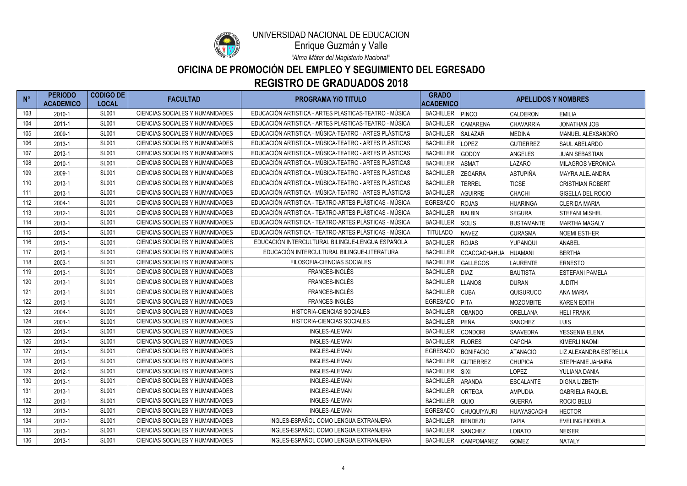

Enrique Guzmán y Valle

*"Alma Máter del Magisterio Nacional"*

| $N^{\circ}$ | <b>PERIODO</b><br><b>ACADEMICO</b> | <b>CODIGO DE</b><br><b>LOCAL</b> | <b>FACULTAD</b>                        | <b>PROGRAMA Y/O TITULO</b>                            | <b>GRADO</b><br><b>ACADEMICO</b> |                    | <b>APELLIDOS Y NOMBRES</b> |                         |
|-------------|------------------------------------|----------------------------------|----------------------------------------|-------------------------------------------------------|----------------------------------|--------------------|----------------------------|-------------------------|
| 103         | 2010-1                             | <b>SL001</b>                     | CIENCIAS SOCIALES Y HUMANIDADES        | EDUCACIÓN ARTISTICA - ARTES PLASTICAS-TEATRO - MÚSICA | <b>BACHILLER</b>                 | PINCO              | CALDERON                   | <b>EMILIA</b>           |
| 104         | 2011-1                             | <b>SL001</b>                     | <b>CIENCIAS SOCIALES Y HUMANIDADES</b> | EDUCACIÓN ARTISTICA - ARTES PLASTICAS-TEATRO - MÚSICA | <b>BACHILLER</b>                 | <b>CAMARENA</b>    | <b>CHAVARRIA</b>           | <b>JONATHAN JOB</b>     |
| 105         | 2009-1                             | <b>SL001</b>                     | <b>CIENCIAS SOCIALES Y HUMANIDADES</b> | EDUCACIÓN ARTISTICA - MÚSICA-TEATRO - ARTES PLÁSTICAS | <b>BACHILLER</b>                 | <b>SALAZAR</b>     | <b>MEDINA</b>              | MANUEL ALEXSANDRO       |
| 106         | 2013-1                             | <b>SL001</b>                     | CIENCIAS SOCIALES Y HUMANIDADES        | EDUCACIÓN ARTISTICA - MÚSICA-TEATRO - ARTES PLÁSTICAS | <b>BACHILLER</b>                 | <b>LOPEZ</b>       | <b>GUTIERREZ</b>           | SAUL ABELARDO           |
| 107         | 2013-1                             | <b>SL001</b>                     | <b>CIENCIAS SOCIALES Y HUMANIDADES</b> | EDUCACIÓN ARTISTICA - MÚSICA-TEATRO - ARTES PLÁSTICAS | <b>BACHILLER</b>                 | <b>GODOY</b>       | ANGELES                    | <b>JUAN SEBASTIAN</b>   |
| 108         | 2010-1                             | <b>SL001</b>                     | CIENCIAS SOCIALES Y HUMANIDADES        | EDUCACIÓN ARTISTICA - MÚSICA-TEATRO - ARTES PLÁSTICAS | <b>BACHILLER</b>                 | <b>ASMAT</b>       | LAZARO                     | MILAGROS VERONICA       |
| 109         | 2009-1                             | <b>SL001</b>                     | <b>CIENCIAS SOCIALES Y HUMANIDADES</b> | EDUCACIÓN ARTISTICA - MÚSICA-TEATRO - ARTES PLÁSTICAS | <b>BACHILLER</b>                 | <b>ZEGARRA</b>     | ASTUPIÑA                   | MAYRA ALEJANDRA         |
| 110         | 2013-1                             | <b>SL001</b>                     | <b>CIENCIAS SOCIALES Y HUMANIDADES</b> | EDUCACIÓN ARTISTICA - MÚSICA-TEATRO - ARTES PLÁSTICAS | <b>BACHILLER</b>                 | TERREL             | <b>TICSE</b>               | <b>CRISTHIAN ROBERT</b> |
| 111         | 2013-1                             | <b>SL001</b>                     | <b>CIENCIAS SOCIALES Y HUMANIDADES</b> | EDUCACIÓN ARTISTICA - MÚSICA-TEATRO - ARTES PLÁSTICAS | <b>BACHILLER</b>                 | <b>AGUIRRE</b>     | <b>CHACHI</b>              | GISELLA DEL ROCIO       |
| 112         | 2004-1                             | <b>SL001</b>                     | <b>CIENCIAS SOCIALES Y HUMANIDADES</b> | EDUCACIÓN ARTISTICA - TEATRO-ARTES PLÁSTICAS - MÚSICA | <b>EGRESADO</b>                  | <b>ROJAS</b>       | <b>HUARINGA</b>            | <b>CLERIDA MARIA</b>    |
| 113         | 2012-1                             | <b>SL001</b>                     | <b>CIENCIAS SOCIALES Y HUMANIDADES</b> | EDUCACIÓN ARTISTICA - TEATRO-ARTES PLÁSTICAS - MÚSICA | <b>BACHILLER</b>                 | <b>BALBIN</b>      | <b>SEGURA</b>              | <b>STEFANI MISHEL</b>   |
| 114         | 2013-1                             | <b>SL001</b>                     | <b>CIENCIAS SOCIALES Y HUMANIDADES</b> | EDUCACIÓN ARTISTICA - TEATRO-ARTES PLÁSTICAS - MÚSICA | <b>BACHILLER</b>                 | <b>SOLIS</b>       | <b>BUSTAMANTE</b>          | <b>MARTHA MAGALY</b>    |
| 115         | 2013-1                             | <b>SL001</b>                     | <b>CIENCIAS SOCIALES Y HUMANIDADES</b> | EDUCACIÓN ARTISTICA - TEATRO-ARTES PLÁSTICAS - MÚSICA | <b>TITULADO</b>                  | <b>NAVEZ</b>       | <b>CURASMA</b>             | <b>NOEMI ESTHER</b>     |
| 116         | 2013-1                             | <b>SL001</b>                     | <b>CIENCIAS SOCIALES Y HUMANIDADES</b> | EDUCACIÓN INTERCULTURAL BILINGUE-LENGUA ESPAÑOLA      | <b>BACHILLER</b>                 | <b>ROJAS</b>       | YUPANQUI                   | ANABEL                  |
| 117         | 2013-1                             | <b>SL001</b>                     | <b>CIENCIAS SOCIALES Y HUMANIDADES</b> | EDUCACIÓN INTERCULTURAL BILINGUE-LITERATURA           | <b>BACHILLER</b>                 | CCACCACHAHUA       | <b>HUAMANI</b>             | <b>BERTHA</b>           |
| 118         | 2003-1                             | <b>SL001</b>                     | <b>CIENCIAS SOCIALES Y HUMANIDADES</b> | FILOSOFIA-CIENCIAS SOCIALES                           | <b>BACHILLER</b>                 | <b>GALLEGOS</b>    | <b>LAURENTE</b>            | <b>ERNESTO</b>          |
| 119         | 2013-1                             | <b>SL001</b>                     | <b>CIENCIAS SOCIALES Y HUMANIDADES</b> | FRANCES-INGLÉS                                        | <b>BACHILLER</b>                 | <b>DIAZ</b>        | <b>BAUTISTA</b>            | <b>ESTEFANI PAMELA</b>  |
| 120         | 2013-1                             | <b>SL001</b>                     | <b>CIENCIAS SOCIALES Y HUMANIDADES</b> | FRANCES-INGLÉS                                        | <b>BACHILLER</b>                 | <b>LANOS</b>       | <b>DURAN</b>               | <b>JUDITH</b>           |
| 121         | 2013-1                             | <b>SL001</b>                     | <b>CIENCIAS SOCIALES Y HUMANIDADES</b> | FRANCES-INGLÉS                                        | <b>BACHILLER</b>                 | <b>CUBA</b>        | QUISURUCO                  | <b>ANA MARIA</b>        |
| 122         | 2013-1                             | <b>SL001</b>                     | <b>CIENCIAS SOCIALES Y HUMANIDADES</b> | FRANCES-INGLÉS                                        | <b>EGRESADO</b>                  | PITA               | <b>MOZOMBITE</b>           | <b>KAREN EDITH</b>      |
| 123         | 2004-1                             | <b>SL001</b>                     | <b>CIENCIAS SOCIALES Y HUMANIDADES</b> | <b>HISTORIA-CIENCIAS SOCIALES</b>                     | <b>BACHILLER</b>                 | <b>OBANDO</b>      | ORELLANA                   | <b>HELI FRANK</b>       |
| 124         | 2001-1                             | <b>SL001</b>                     | <b>CIENCIAS SOCIALES Y HUMANIDADES</b> | <b>HISTORIA-CIENCIAS SOCIALES</b>                     | <b>BACHILLER</b>                 | <b>PEÑA</b>        | <b>SANCHEZ</b>             | <b>LUIS</b>             |
| 125         | 2013-1                             | <b>SL001</b>                     | <b>CIENCIAS SOCIALES Y HUMANIDADES</b> | <b>INGLES-ALEMAN</b>                                  | <b>BACHILLER</b>                 | <b>CONDORI</b>     | <b>SAAVEDRA</b>            | YESSENIA ELENA          |
| 126         | 2013-1                             | <b>SL001</b>                     | <b>CIENCIAS SOCIALES Y HUMANIDADES</b> | <b>INGLES-ALEMAN</b>                                  | <b>BACHILLER</b>                 | <b>FLORES</b>      | <b>CAPCHA</b>              | <b>KIMERLI NAOMI</b>    |
| 127         | 2013-1                             | <b>SL001</b>                     | CIENCIAS SOCIALES Y HUMANIDADES        | <b>INGLES-ALEMAN</b>                                  | <b>EGRESADO</b>                  | <b>BONIFACIO</b>   | <b>ATANACIO</b>            | LIZ ALEXANDRA ESTRELLA  |
| 128         | 2013-1                             | <b>SL001</b>                     | CIENCIAS SOCIALES Y HUMANIDADES        | <b>INGLES-ALEMAN</b>                                  | <b>BACHILLER</b>                 | GUTIERREZ          | <b>CHUPICA</b>             | STEPHANIE JAHAIRA       |
| 129         | 2012-1                             | <b>SL001</b>                     | CIENCIAS SOCIALES Y HUMANIDADES        | <b>INGLES-ALEMAN</b>                                  | <b>BACHILLER</b>                 | <b>SIXI</b>        | <b>LOPEZ</b>               | YULIANA DANIA           |
| 130         | 2013-1                             | <b>SL001</b>                     | CIENCIAS SOCIALES Y HUMANIDADES        | <b>INGLES-ALEMAN</b>                                  | <b>BACHILLER</b>                 | <b>ARANDA</b>      | <b>ESCALANTE</b>           | <b>DIGNA LIZBETH</b>    |
| 131         | 2013-1                             | <b>SL001</b>                     | CIENCIAS SOCIALES Y HUMANIDADES        | <b>INGLES-ALEMAN</b>                                  | <b>BACHILLER</b>                 | <b>ORTEGA</b>      | <b>AMPUDIA</b>             | <b>GABRIELA RAQUEL</b>  |
| 132         | 2013-1                             | <b>SL001</b>                     | CIENCIAS SOCIALES Y HUMANIDADES        | <b>INGLES-ALEMAN</b>                                  | <b>BACHILLER</b>                 | QUIO               | <b>GUERRA</b>              | ROCIO BELU              |
| 133         | 2013-1                             | <b>SL001</b>                     | CIENCIAS SOCIALES Y HUMANIDADES        | <b>INGLES-ALEMAN</b>                                  | <b>EGRESADO</b>                  | <b>CHUQUIYAURI</b> | HUAYASCACHI                | <b>HECTOR</b>           |
| 134         | 2012-1                             | <b>SL001</b>                     | <b>CIENCIAS SOCIALES Y HUMANIDADES</b> | INGLES-ESPAÑOL COMO LENGUA EXTRANJERA                 | <b>BACHILLER</b>                 | <b>BENDEZU</b>     | TAPIA                      | <b>EVELING FIORELA</b>  |
| 135         | 2013-1                             | <b>SL001</b>                     | CIENCIAS SOCIALES Y HUMANIDADES        | INGLES-ESPAÑOL COMO LENGUA EXTRANJERA                 | <b>BACHILLER</b>                 | <b>SANCHEZ</b>     | <b>LOBATO</b>              | <b>NEISER</b>           |
| 136         | 2013-1                             | <b>SL001</b>                     | CIENCIAS SOCIALES Y HUMANIDADES        | INGLES-ESPAÑOL COMO LENGUA EXTRANJERA                 | <b>BACHILLER</b>                 | <b>CAMPOMANEZ</b>  | GOMEZ                      | <b>NATALY</b>           |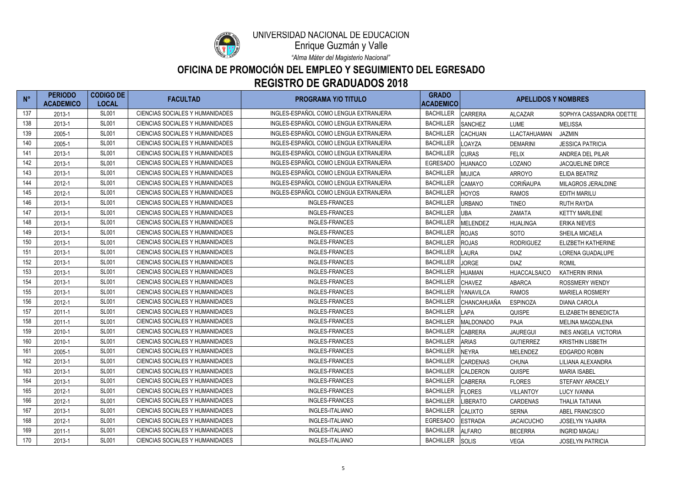

Enrique Guzmán y Valle

*"Alma Máter del Magisterio Nacional"*

| $N^{\circ}$ | <b>PERIODO</b><br><b>ACADEMICO</b> | <b>CODIGO DE</b><br><b>LOCAL</b> | <b>FACULTAD</b>                        | <b>PROGRAMA Y/O TITULO</b>            | <b>GRADO</b><br><b>ACADEMICO</b> |                 | <b>APELLIDOS Y NOMBRES</b> |                             |  |
|-------------|------------------------------------|----------------------------------|----------------------------------------|---------------------------------------|----------------------------------|-----------------|----------------------------|-----------------------------|--|
| 137         | 2013-1                             | <b>SL001</b>                     | CIENCIAS SOCIALES Y HUMANIDADES        | INGLES-ESPAÑOL COMO LENGUA EXTRANJERA | <b>BACHILLER</b>                 | <b>CARRERA</b>  | <b>ALCAZAR</b>             | SOPHYA CASSANDRA ODETTE     |  |
| 138         | 2013-1                             | <b>SL001</b>                     | <b>CIENCIAS SOCIALES Y HUMANIDADES</b> | INGLES-ESPAÑOL COMO LENGUA EXTRANJERA | <b>BACHILLER</b>                 | SANCHEZ         | LUME                       | <b>MELISSA</b>              |  |
| 139         | 2005-1                             | <b>SL001</b>                     | <b>CIENCIAS SOCIALES Y HUMANIDADES</b> | INGLES-ESPAÑOL COMO LENGUA EXTRANJERA | <b>BACHILLER</b>                 | <b>CACHUAN</b>  | LLACTAHUAMAN               | <b>JAZMIN</b>               |  |
| 140         | 2005-1                             | <b>SL001</b>                     | <b>CIENCIAS SOCIALES Y HUMANIDADES</b> | INGLES-ESPAÑOL COMO LENGUA EXTRANJERA | <b>BACHILLER</b>                 | LOAYZA          | <b>DEMARINI</b>            | <b>JESSICA PATRICIA</b>     |  |
| 141         | 2013-1                             | <b>SL001</b>                     | CIENCIAS SOCIALES Y HUMANIDADES        | INGLES-ESPAÑOL COMO LENGUA EXTRANJERA | <b>BACHILLER</b>                 | <b>CURAS</b>    | <b>FELIX</b>               | ANDREA DEL PILAR            |  |
| 142         | 2013-1                             | <b>SL001</b>                     | <b>CIENCIAS SOCIALES Y HUMANIDADES</b> | INGLES-ESPAÑOL COMO LENGUA EXTRANJERA | <b>EGRESADO</b>                  | <b>HUANACO</b>  | LOZANO                     | <b>JACQUELINE DIRCE</b>     |  |
| 143         | 2013-1                             | <b>SL001</b>                     | <b>CIENCIAS SOCIALES Y HUMANIDADES</b> | INGLES-ESPAÑOL COMO LENGUA EXTRANJERA | <b>BACHILLER</b>                 | <b>MUJICA</b>   | <b>ARROYO</b>              | ELIDA BEATRIZ               |  |
| 144         | 2012-1                             | <b>SL001</b>                     | <b>CIENCIAS SOCIALES Y HUMANIDADES</b> | INGLES-ESPAÑOL COMO LENGUA EXTRANJERA | <b>BACHILLER</b>                 | <b>CAMAYO</b>   | <b>CORIÑAUPA</b>           | MILAGROS JERALDINE          |  |
| 145         | 2012-1                             | <b>SL001</b>                     | CIENCIAS SOCIALES Y HUMANIDADES        | INGLES-ESPAÑOL COMO LENGUA EXTRANJERA | <b>BACHILLER</b>                 | <b>HOYOS</b>    | <b>RAMOS</b>               | <b>EDITH MARILU</b>         |  |
| 146         | 2013-1                             | <b>SL001</b>                     | CIENCIAS SOCIALES Y HUMANIDADES        | <b>INGLES-FRANCES</b>                 | <b>BACHILLER</b>                 | <b>URBANO</b>   | <b>TINEO</b>               | <b>RUTH RAYDA</b>           |  |
| 147         | 2013-1                             | <b>SL001</b>                     | CIENCIAS SOCIALES Y HUMANIDADES        | <b>INGLES-FRANCES</b>                 | <b>BACHILLER</b>                 | <b>UBA</b>      | ZAMATA                     | <b>KETTY MARLENE</b>        |  |
| 148         | 2013-1                             | <b>SL001</b>                     | CIENCIAS SOCIALES Y HUMANIDADES        | <b>INGLES-FRANCES</b>                 | <b>BACHILLER</b>                 | <b>MELENDEZ</b> | <b>HUALINGA</b>            | <b>ERIKA NIEVES</b>         |  |
| 149         | 2013-1                             | <b>SL001</b>                     | CIENCIAS SOCIALES Y HUMANIDADES        | <b>INGLES-FRANCES</b>                 | <b>BACHILLER</b>                 | <b>ROJAS</b>    | <b>SOTO</b>                | <b>SHEILA MICAELA</b>       |  |
| 150         | 2013-1                             | <b>SL001</b>                     | <b>CIENCIAS SOCIALES Y HUMANIDADES</b> | <b>INGLES-FRANCES</b>                 | <b>BACHILLER</b>                 | <b>ROJAS</b>    | <b>RODRIGUEZ</b>           | <b>ELIZBETH KATHERINE</b>   |  |
| 151         | 2013-1                             | <b>SL001</b>                     | <b>CIENCIAS SOCIALES Y HUMANIDADES</b> | <b>INGLES-FRANCES</b>                 | <b>BACHILLER</b>                 | <b>LAURA</b>    | <b>DIAZ</b>                | LORENA GUADALUPE            |  |
| 152         | 2013-1                             | <b>SL001</b>                     | CIENCIAS SOCIALES Y HUMANIDADES        | <b>INGLES-FRANCES</b>                 | <b>BACHILLER</b>                 | <b>JORGE</b>    | <b>DIAZ</b>                | <b>ROMIL</b>                |  |
| 153         | 2013-1                             | <b>SL001</b>                     | CIENCIAS SOCIALES Y HUMANIDADES        | <b>INGLES-FRANCES</b>                 | <b>BACHILLER</b>                 | <b>HUAMAN</b>   | <b>HUACCALSAICO</b>        | <b>KATHERIN IRINIA</b>      |  |
| 154         | 2013-1                             | <b>SL001</b>                     | CIENCIAS SOCIALES Y HUMANIDADES        | <b>INGLES-FRANCES</b>                 | <b>BACHILLER</b>                 | <b>CHAVEZ</b>   | <b>ABARCA</b>              | <b>ROSSMERY WENDY</b>       |  |
| 155         | 2013-1                             | <b>SL001</b>                     | CIENCIAS SOCIALES Y HUMANIDADES        | <b>INGLES-FRANCES</b>                 | <b>BACHILLER</b>                 | YANAVILCA       | <b>RAMOS</b>               | <b>MARIELA ROSMERY</b>      |  |
| 156         | 2012-1                             | <b>SL001</b>                     | <b>CIENCIAS SOCIALES Y HUMANIDADES</b> | <b>INGLES-FRANCES</b>                 | <b>BACHILLER</b>                 | CHANCAHUAÑA     | <b>ESPINOZA</b>            | <b>DIANA CAROLA</b>         |  |
| 157         | $2011 - 1$                         | <b>SL001</b>                     | CIENCIAS SOCIALES Y HUMANIDADES        | <b>INGLES-FRANCES</b>                 | <b>BACHILLER</b>                 | <b>LAPA</b>     | <b>QUISPE</b>              | ELIZABETH BENEDICTA         |  |
| 158         | $2011 - 1$                         | <b>SL001</b>                     | <b>CIENCIAS SOCIALES Y HUMANIDADES</b> | <b>INGLES-FRANCES</b>                 | <b>BACHILLER</b>                 | MALDONADO       | <b>PAJA</b>                | <b>MELINA MAGDALENA</b>     |  |
| 159         | 2010-1                             | <b>SL001</b>                     | CIENCIAS SOCIALES Y HUMANIDADES        | <b>INGLES-FRANCES</b>                 | <b>BACHILLER</b>                 | <b>CABRERA</b>  | <b>JAUREGUI</b>            | <b>INES ANGELA VICTORIA</b> |  |
| 160         | 2010-1                             | <b>SL001</b>                     | <b>CIENCIAS SOCIALES Y HUMANIDADES</b> | <b>INGLES-FRANCES</b>                 | <b>BACHILLER</b>                 | <b>ARIAS</b>    | <b>GUTIERREZ</b>           | <b>KRISTHIN LISBETH</b>     |  |
| 161         | 2005-1                             | <b>SL001</b>                     | CIENCIAS SOCIALES Y HUMANIDADES        | <b>INGLES-FRANCES</b>                 | <b>BACHILLER</b>                 | <b>NEYRA</b>    | <b>MELENDEZ</b>            | <b>EDGARDO ROBIN</b>        |  |
| 162         | 2013-1                             | <b>SL001</b>                     | CIENCIAS SOCIALES Y HUMANIDADES        | INGLES-FRANCES                        | <b>BACHILLER</b>                 | <b>CARDENAS</b> | <b>CHUNA</b>               | LILIANA ALEXANDRA           |  |
| 163         | 2013-1                             | <b>SL001</b>                     | CIENCIAS SOCIALES Y HUMANIDADES        | INGLES-FRANCES                        | <b>BACHILLER</b>                 | <b>CALDERON</b> | <b>QUISPE</b>              | <b>MARIA ISABEL</b>         |  |
| 164         | 2013-1                             | <b>SL001</b>                     | CIENCIAS SOCIALES Y HUMANIDADES        | INGLES-FRANCES                        | <b>BACHILLER</b>                 | <b>CABRERA</b>  | <b>FLORES</b>              | STEFANY ARACELY             |  |
| 165         | 2012-1                             | <b>SL001</b>                     | CIENCIAS SOCIALES Y HUMANIDADES        | INGLES-FRANCES                        | <b>BACHILLER</b>                 | <b>FLORES</b>   | <b>VILLANTOY</b>           | <b>LUCY IVANNA</b>          |  |
| 166         | 2012-1                             | <b>SL001</b>                     | CIENCIAS SOCIALES Y HUMANIDADES        | INGLES-FRANCES                        | <b>BACHILLER</b>                 | <b>LIBERATO</b> | CARDENAS                   | THALIA TATIANA              |  |
| 167         | 2013-1                             | <b>SL001</b>                     | CIENCIAS SOCIALES Y HUMANIDADES        | INGLES-ITALIANO                       | <b>BACHILLER</b>                 | <b>CALIXTO</b>  | <b>SERNA</b>               | ABEL FRANCISCO              |  |
| 168         | 2012-1                             | <b>SL001</b>                     | CIENCIAS SOCIALES Y HUMANIDADES        | INGLES-ITALIANO                       | <b>EGRESADO</b>                  | <b>ESTRADA</b>  | <b>JACAICUCHO</b>          | <b>JOSELYN YAJAIRA</b>      |  |
| 169         | $2011 - 1$                         | <b>SL001</b>                     | CIENCIAS SOCIALES Y HUMANIDADES        | INGLES-ITALIANO                       | <b>BACHILLER</b>                 | <b>ALFARO</b>   | <b>BECERRA</b>             | <b>INGRID MAGALI</b>        |  |
| 170         | 2013-1                             | <b>SL001</b>                     | CIENCIAS SOCIALES Y HUMANIDADES        | INGLES-ITALIANO                       | <b>BACHILLER</b>                 | <b>SOLIS</b>    | VEGA                       | <b>JOSELYN PATRICIA</b>     |  |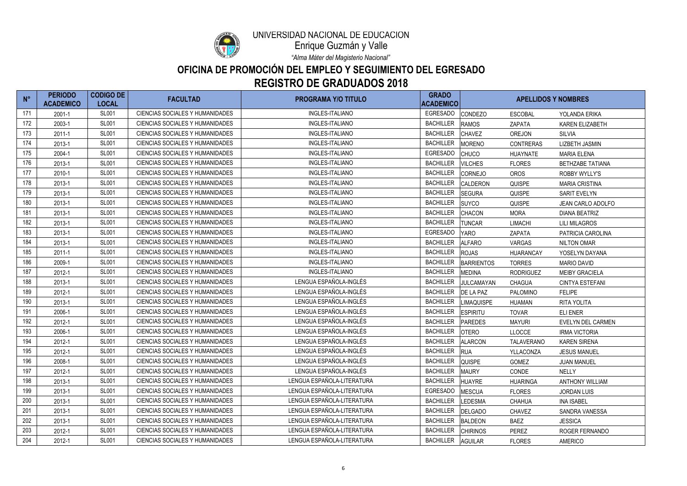

Enrique Guzmán y Valle

*"Alma Máter del Magisterio Nacional"*

| $N^{\circ}$ | <b>PERIODO</b><br><b>ACADEMICO</b> | <b>CODIGO DE</b><br><b>LOCAL</b> | <b>FACULTAD</b>                        | <b>PROGRAMA Y/O TITULO</b> | <b>GRADO</b><br><b>ACADEMICO</b> |                   | <b>APELLIDOS Y NOMBRES</b> |                         |
|-------------|------------------------------------|----------------------------------|----------------------------------------|----------------------------|----------------------------------|-------------------|----------------------------|-------------------------|
| 171         | 2001-1                             | <b>SL001</b>                     | CIENCIAS SOCIALES Y HUMANIDADES        | INGLES-ITALIANO            | <b>EGRESADO</b>                  | <b>CONDEZO</b>    | <b>ESCOBAL</b>             | YOLANDA ERIKA           |
| 172         | 2003-1                             | <b>SL001</b>                     | <b>CIENCIAS SOCIALES Y HUMANIDADES</b> | INGLES-ITALIANO            | <b>BACHILLER</b>                 | <b>RAMOS</b>      | ZAPATA                     | <b>KAREN ELIZABETH</b>  |
| 173         | $2011 - 1$                         | <b>SL001</b>                     | CIENCIAS SOCIALES Y HUMANIDADES        | INGLES-ITALIANO            | <b>BACHILLER</b>                 | <b>CHAVEZ</b>     | <b>OREJON</b>              | <b>SILVIA</b>           |
| 174         | 2013-1                             | <b>SL001</b>                     | CIENCIAS SOCIALES Y HUMANIDADES        | INGLES-ITALIANO            | <b>BACHILLER</b>                 | <b>MORENO</b>     | <b>CONTRERAS</b>           | <b>LIZBETH JASMIN</b>   |
| 175         | 2004-1                             | <b>SL001</b>                     | CIENCIAS SOCIALES Y HUMANIDADES        | INGLES-ITALIANO            | <b>EGRESADO</b>                  | <b>CHUCO</b>      | <b>HUAYNATE</b>            | <b>MARIA ELENA</b>      |
| 176         | 2013-1                             | <b>SL001</b>                     | <b>CIENCIAS SOCIALES Y HUMANIDADES</b> | INGLES-ITALIANO            | <b>BACHILLER</b>                 | <b>VILCHES</b>    | <b>FLORES</b>              | <b>BETHZABE TATIANA</b> |
| 177         | 2010-1                             | <b>SL001</b>                     | <b>CIENCIAS SOCIALES Y HUMANIDADES</b> | INGLES-ITALIANO            | <b>BACHILLER</b>                 | <b>CORNEJO</b>    | <b>OROS</b>                | ROBBY WYLLY'S           |
| 178         | 2013-1                             | <b>SL001</b>                     | <b>CIENCIAS SOCIALES Y HUMANIDADES</b> | INGLES-ITALIANO            | <b>BACHILLER</b>                 | <b>CALDERON</b>   | <b>QUISPE</b>              | <b>MARIA CRISTINA</b>   |
| 179         | 2013-1                             | <b>SL001</b>                     | <b>CIENCIAS SOCIALES Y HUMANIDADES</b> | <b>INGLES-ITALIANO</b>     | <b>BACHILLER</b>                 | <b>SEGURA</b>     | <b>QUISPE</b>              | SARIT EVELYN            |
| 180         | 2013-1                             | <b>SL001</b>                     | <b>CIENCIAS SOCIALES Y HUMANIDADES</b> | <b>INGLES-ITALIANO</b>     | <b>BACHILLER</b>                 | <b>SUYCO</b>      | <b>QUISPE</b>              | JEAN CARLO ADOLFO       |
| 181         | 2013-1                             | <b>SL001</b>                     | CIENCIAS SOCIALES Y HUMANIDADES        | <b>INGLES-ITALIANO</b>     | <b>BACHILLER</b>                 | <b>CHACON</b>     | <b>MORA</b>                | <b>DIANA BEATRIZ</b>    |
| 182         | 2013-1                             | <b>SL001</b>                     | <b>CIENCIAS SOCIALES Y HUMANIDADES</b> | INGLES-ITALIANO            | <b>BACHILLER</b>                 | <b>TUNCAR</b>     | <b>LIMACHI</b>             | <b>LILI MILAGROS</b>    |
| 183         | 2013-1                             | <b>SL001</b>                     | <b>CIENCIAS SOCIALES Y HUMANIDADES</b> | INGLES-ITALIANO            | <b>EGRESADO</b>                  | <b>YARO</b>       | ZAPATA                     | PATRICIA CAROLINA       |
| 184         | 2013-1                             | <b>SL001</b>                     | <b>CIENCIAS SOCIALES Y HUMANIDADES</b> | <b>INGLES-ITALIANO</b>     | <b>BACHILLER</b>                 | <b>ALFARO</b>     | <b>VARGAS</b>              | <b>NILTON OMAR</b>      |
| 185         | $2011 - 1$                         | <b>SL001</b>                     | <b>CIENCIAS SOCIALES Y HUMANIDADES</b> | INGLES-ITALIANO            | <b>BACHILLER</b>                 | <b>ROJAS</b>      | <b>HUARANCAY</b>           | YOSELYN DAYANA          |
| 186         | 2009-1                             | <b>SL001</b>                     | <b>CIENCIAS SOCIALES Y HUMANIDADES</b> | <b>INGLES-ITALIANO</b>     | <b>BACHILLER</b>                 | <b>BARRIENTOS</b> | <b>TORRES</b>              | <b>MARIO DAVID</b>      |
| 187         | 2012-1                             | <b>SL001</b>                     | CIENCIAS SOCIALES Y HUMANIDADES        | INGLES-ITALIANO            | <b>BACHILLER</b>                 | <b>MEDINA</b>     | <b>RODRIGUEZ</b>           | <b>MEIBY GRACIELA</b>   |
| 188         | 2013-1                             | <b>SL001</b>                     | <b>CIENCIAS SOCIALES Y HUMANIDADES</b> | LENGUA ESPAÑOLA-INGLÉS     | <b>BACHILLER</b>                 | JULCAMAYAN        | <b>CHAGUA</b>              | <b>CINTYA ESTEFANI</b>  |
| 189         | 2012-1                             | <b>SL001</b>                     | <b>CIENCIAS SOCIALES Y HUMANIDADES</b> | LENGUA ESPAÑOLA-INGLÉS     | <b>BACHILLER</b>                 | DE LA PAZ         | PALOMINO                   | <b>FELIPE</b>           |
| 190         | 2013-1                             | <b>SL001</b>                     | <b>CIENCIAS SOCIALES Y HUMANIDADES</b> | LENGUA ESPAÑOLA-INGLÉS     | <b>BACHILLER</b>                 | <b>LIMAQUISPE</b> | <b>HUAMAN</b>              | <b>RITA YOLITA</b>      |
| 191         | 2006-1                             | <b>SL001</b>                     | <b>CIENCIAS SOCIALES Y HUMANIDADES</b> | LENGUA ESPAÑOLA-INGLÉS     | <b>BACHILLER</b>                 | <b>ESPIRITU</b>   | <b>TOVAR</b>               | <b>ELI ENER</b>         |
| 192         | 2012-1                             | <b>SL001</b>                     | CIENCIAS SOCIALES Y HUMANIDADES        | LENGUA ESPAÑOLA-INGLÉS     | <b>BACHILLER</b>                 | <b>PAREDES</b>    | <b>MAYURI</b>              | EVELYN DEL CARMEN       |
| 193         | 2006-1                             | <b>SL001</b>                     | <b>CIENCIAS SOCIALES Y HUMANIDADES</b> | LENGUA ESPAÑOLA-INGLÉS     | <b>BACHILLER</b>                 | <b>OTERO</b>      | <b>LLOCCE</b>              | <b>IRMA VICTORIA</b>    |
| 194         | 2012-1                             | <b>SL001</b>                     | <b>CIENCIAS SOCIALES Y HUMANIDADES</b> | LENGUA ESPAÑOLA-INGLÉS     | <b>BACHILLER</b>                 | <b>ALARCON</b>    | <b>TALAVERANO</b>          | <b>KAREN SIRENA</b>     |
| 195         | 2012-1                             | <b>SL001</b>                     | CIENCIAS SOCIALES Y HUMANIDADES        | LENGUA ESPAÑOLA-INGLÉS     | BACHILLER RUA                    |                   | YLLACONZA                  | <b>JESUS MANUEL</b>     |
| 196         | 2008-1                             | <b>SL001</b>                     | CIENCIAS SOCIALES Y HUMANIDADES        | LENGUA ESPAÑOLA-INGLÉS     | <b>BACHILLER</b>                 | <b>QUISPE</b>     | GOMEZ                      | <b>JUAN MANUEL</b>      |
| 197         | 2012-1                             | <b>SL001</b>                     | CIENCIAS SOCIALES Y HUMANIDADES        | LENGUA ESPAÑOLA-INGLÉS     | <b>BACHILLER</b>                 | <b>MAURY</b>      | CONDE                      | <b>NELLY</b>            |
| 198         | 2013-1                             | <b>SL001</b>                     | CIENCIAS SOCIALES Y HUMANIDADES        | LENGUA ESPAÑOLA-LITERATURA | <b>BACHILLER</b>                 | <b>HUAYRE</b>     | <b>HUARINGA</b>            | <b>ANTHONY WILLIAM</b>  |
| 199         | 2013-1                             | <b>SL001</b>                     | CIENCIAS SOCIALES Y HUMANIDADES        | LENGUA ESPAÑOLA-LITERATURA | <b>EGRESADO</b>                  | <b>MESCUA</b>     | <b>FLORES</b>              | <b>JORDAN LUIS</b>      |
| 200         | 2013-1                             | <b>SL001</b>                     | CIENCIAS SOCIALES Y HUMANIDADES        | LENGUA ESPAÑOLA-LITERATURA | <b>BACHILLER</b>                 | <b>LEDESMA</b>    | <b>CHAHUA</b>              | <b>INA ISABEL</b>       |
| 201         | 2013-1                             | <b>SL001</b>                     | CIENCIAS SOCIALES Y HUMANIDADES        | LENGUA ESPAÑOLA-LITERATURA | <b>BACHILLER</b>                 | DELGADO           | <b>CHAVEZ</b>              | SANDRA VANESSA          |
| 202         | 2013-1                             | <b>SL001</b>                     | CIENCIAS SOCIALES Y HUMANIDADES        | LENGUA ESPAÑOLA-LITERATURA | <b>BACHILLER</b>                 | <b>BALDEON</b>    | <b>BAEZ</b>                | <b>JESSICA</b>          |
| 203         | 2012-1                             | <b>SL001</b>                     | CIENCIAS SOCIALES Y HUMANIDADES        | LENGUA ESPAÑOLA-LITERATURA | <b>BACHILLER</b>                 | <b>CHIRINOS</b>   | <b>PEREZ</b>               | ROGER FERNANDO          |
| 204         | 2012-1                             | <b>SL001</b>                     | CIENCIAS SOCIALES Y HUMANIDADES        | LENGUA ESPAÑOLA-LITERATURA | <b>BACHILLER</b>                 | <b>AGUILAR</b>    | <b>FLORES</b>              | <b>AMERICO</b>          |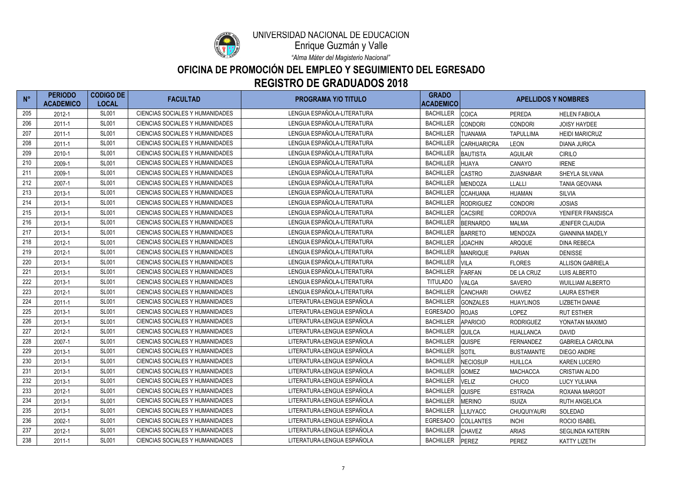

Enrique Guzmán y Valle

*"Alma Máter del Magisterio Nacional"*

| $N^{\circ}$ | <b>PERIODO</b><br><b>ACADEMICO</b> | <b>CODIGO DE</b><br><b>LOCAL</b> | <b>FACULTAD</b>                        | <b>PROGRAMA Y/O TITULO</b> | <b>GRADO</b><br><b>ACADEMICO</b> |                    | <b>APELLIDOS Y NOMBRES</b> |                          |
|-------------|------------------------------------|----------------------------------|----------------------------------------|----------------------------|----------------------------------|--------------------|----------------------------|--------------------------|
| 205         | 2012-1                             | <b>SL001</b>                     | <b>CIENCIAS SOCIALES Y HUMANIDADES</b> | LENGUA ESPAÑOLA-LITERATURA | <b>BACHILLER</b>                 | <b>COICA</b>       | PEREDA                     | <b>HELEN FABIOLA</b>     |
| 206         | $2011 - 1$                         | <b>SL001</b>                     | <b>CIENCIAS SOCIALES Y HUMANIDADES</b> | LENGUA ESPAÑOLA-LITERATURA | <b>BACHILLER</b>                 | <b>CONDORI</b>     | <b>CONDORI</b>             | <b>JOISY HAYDEE</b>      |
| 207         | $2011 - 1$                         | <b>SL001</b>                     | <b>CIENCIAS SOCIALES Y HUMANIDADES</b> | LENGUA ESPAÑOLA-LITERATURA | <b>BACHILLER</b>                 | <b>TUANAMA</b>     | <b>TAPULLIMA</b>           | <b>HEIDI MARICRUZ</b>    |
| 208         | $2011 - 1$                         | <b>SL001</b>                     | <b>CIENCIAS SOCIALES Y HUMANIDADES</b> | LENGUA ESPAÑOLA-LITERATURA | <b>BACHILLER</b>                 | <b>CARHUARICRA</b> | <b>LEON</b>                | <b>DIANA JURICA</b>      |
| 209         | 2010-1                             | <b>SL001</b>                     | <b>CIENCIAS SOCIALES Y HUMANIDADES</b> | LENGUA ESPAÑOLA-LITERATURA | <b>BACHILLER</b>                 | <b>BAUTISTA</b>    | <b>AGUILAR</b>             | <b>CIRILO</b>            |
| 210         | 2009-1                             | <b>SL001</b>                     | CIENCIAS SOCIALES Y HUMANIDADES        | LENGUA ESPAÑOLA-LITERATURA | <b>BACHILLER</b>                 | <b>HUAYA</b>       | CANAYO                     | <b>IRENE</b>             |
| 211         | 2009-1                             | <b>SL001</b>                     | CIENCIAS SOCIALES Y HUMANIDADES        | LENGUA ESPAÑOLA-LITERATURA | <b>BACHILLER</b>                 | <b>CASTRO</b>      | ZUASNABAR                  | SHEYLA SILVANA           |
| 212         | 2007-1                             | <b>SL001</b>                     | <b>CIENCIAS SOCIALES Y HUMANIDADES</b> | LENGUA ESPAÑOLA-LITERATURA | <b>BACHILLER</b>                 | MENDOZA            | <b>LLALLI</b>              | <b>TANIA GEOVANA</b>     |
| 213         | 2013-1                             | <b>SL001</b>                     | <b>CIENCIAS SOCIALES Y HUMANIDADES</b> | LENGUA ESPAÑOLA-LITERATURA | <b>BACHILLER</b>                 | <b>CCAHUANA</b>    | <b>HUAMAN</b>              | <b>SILVIA</b>            |
| 214         | 2013-1                             | <b>SL001</b>                     | CIENCIAS SOCIALES Y HUMANIDADES        | LENGUA ESPAÑOLA-LITERATURA | <b>BACHILLER</b>                 | <b>RODRIGUEZ</b>   | <b>CONDORI</b>             | <b>JOSIAS</b>            |
| 215         | 2013-1                             | <b>SL001</b>                     | CIENCIAS SOCIALES Y HUMANIDADES        | LENGUA ESPAÑOLA-LITERATURA | <b>BACHILLER</b>                 | <b>CACSIRE</b>     | CORDOVA                    | YENIFER FRANSISCA        |
| 216         | 2013-1                             | <b>SL001</b>                     | <b>CIENCIAS SOCIALES Y HUMANIDADES</b> | LENGUA ESPAÑOLA-LITERATURA | <b>BACHILLER</b>                 | <b>BERNARDO</b>    | MALMA                      | <b>JENIFER CLAUDIA</b>   |
| 217         | 2013-1                             | <b>SL001</b>                     | CIENCIAS SOCIALES Y HUMANIDADES        | LENGUA ESPAÑOLA-LITERATURA | <b>BACHILLER</b>                 | <b>BARRETO</b>     | <b>MENDOZA</b>             | <b>GIANNINA MADELY</b>   |
| 218         | 2012-1                             | <b>SL001</b>                     | <b>CIENCIAS SOCIALES Y HUMANIDADES</b> | LENGUA ESPAÑOLA-LITERATURA | <b>BACHILLER</b>                 | <b>JOACHIN</b>     | ARQQUE                     | <b>DINA REBECA</b>       |
| 219         | 2012-1                             | <b>SL001</b>                     | CIENCIAS SOCIALES Y HUMANIDADES        | LENGUA ESPAÑOLA-LITERATURA | <b>BACHILLER</b>                 | <b>MANRIQUE</b>    | <b>PARIAN</b>              | <b>DENISSE</b>           |
| 220         | 2013-1                             | <b>SL001</b>                     | CIENCIAS SOCIALES Y HUMANIDADES        | LENGUA ESPAÑOLA-LITERATURA | <b>BACHILLER</b>                 | <b>VILA</b>        | <b>FLORES</b>              | <b>ALLISON GABRIELA</b>  |
| 221         | 2013-1                             | <b>SL001</b>                     | <b>CIENCIAS SOCIALES Y HUMANIDADES</b> | LENGUA ESPAÑOLA-LITERATURA | <b>BACHILLER</b>                 | <b>FARFAN</b>      | DE LA CRUZ                 | <b>LUIS ALBERTO</b>      |
| 222         | 2013-1                             | <b>SL001</b>                     | CIENCIAS SOCIALES Y HUMANIDADES        | LENGUA ESPAÑOLA-LITERATURA | <b>TITULADO</b>                  | <b>VALGA</b>       | <b>SAVERO</b>              | <b>WUILLIAM ALBERTO</b>  |
| 223         | 2012-1                             | <b>SL001</b>                     | <b>CIENCIAS SOCIALES Y HUMANIDADES</b> | LENGUA ESPAÑOLA-LITERATURA | <b>BACHILLER</b>                 | <b>CANCHARI</b>    | <b>CHAVEZ</b>              | <b>LAURA ESTHER</b>      |
| 224         | $2011 - 1$                         | <b>SL001</b>                     | CIENCIAS SOCIALES Y HUMANIDADES        | LITERATURA-LENGUA ESPAÑOLA | <b>BACHILLER</b>                 | <b>GONZALES</b>    | <b>HUAYLINOS</b>           | <b>LIZBETH DANAE</b>     |
| 225         | 2013-1                             | <b>SL001</b>                     | CIENCIAS SOCIALES Y HUMANIDADES        | LITERATURA-LENGUA ESPAÑOLA | <b>EGRESADO</b>                  | <b>ROJAS</b>       | <b>LOPEZ</b>               | <b>RUT ESTHER</b>        |
| 226         | 2013-1                             | <b>SL001</b>                     | <b>CIENCIAS SOCIALES Y HUMANIDADES</b> | LITERATURA-LENGUA ESPAÑOLA | <b>BACHILLER</b>                 | <b>APARICIO</b>    | <b>RODRIGUEZ</b>           | YONATAN MAXIMO           |
| 227         | 2012-1                             | <b>SL001</b>                     | CIENCIAS SOCIALES Y HUMANIDADES        | LITERATURA-LENGUA ESPAÑOLA | <b>BACHILLER</b>                 | QUILCA             | HUALLANCA                  | <b>DAVID</b>             |
| 228         | 2007-1                             | <b>SL001</b>                     | <b>CIENCIAS SOCIALES Y HUMANIDADES</b> | LITERATURA-LENGUA ESPAÑOLA | <b>BACHILLER</b>                 | <b>QUISPE</b>      | FERNANDEZ                  | <b>GABRIELA CAROLINA</b> |
| 229         | 2013-1                             | <b>SL001</b>                     | <b>CIENCIAS SOCIALES Y HUMANIDADES</b> | LITERATURA-LENGUA ESPAÑOLA | BACHILLER SOTIL                  |                    | <b>BUSTAMANTE</b>          | <b>DIEGO ANDRE</b>       |
| 230         | 2013-1                             | <b>SL001</b>                     | CIENCIAS SOCIALES Y HUMANIDADES        | LITERATURA-LENGUA ESPAÑOLA | <b>BACHILLER</b>                 | <b>NECIOSUP</b>    | <b>HUILLCA</b>             | <b>KAREN LUCERO</b>      |
| 231         | 2013-1                             | <b>SL001</b>                     | CIENCIAS SOCIALES Y HUMANIDADES        | LITERATURA-LENGUA ESPAÑOLA | <b>BACHILLER</b>                 | <b>GOMEZ</b>       | <b>MACHACCA</b>            | <b>CRISTIAN ALDO</b>     |
| 232         | 2013-1                             | <b>SL001</b>                     | CIENCIAS SOCIALES Y HUMANIDADES        | LITERATURA-LENGUA ESPAÑOLA | <b>BACHILLER</b>                 | <b>VELIZ</b>       | <b>CHUCO</b>               | <b>LUCY YULIANA</b>      |
| 233         | 2012-1                             | <b>SL001</b>                     | CIENCIAS SOCIALES Y HUMANIDADES        | LITERATURA-LENGUA ESPAÑOLA | <b>BACHILLER</b>                 | <b>QUISPE</b>      | <b>ESTRADA</b>             | ROXANA MARGOT            |
| 234         | 2013-1                             | <b>SL001</b>                     | CIENCIAS SOCIALES Y HUMANIDADES        | LITERATURA-LENGUA ESPAÑOLA | <b>BACHILLER</b>                 | <b>MERINO</b>      | ISUIZA                     | <b>RUTH ANGELICA</b>     |
| 235         | 2013-1                             | <b>SL001</b>                     | CIENCIAS SOCIALES Y HUMANIDADES        | LITERATURA-LENGUA ESPAÑOLA | <b>BACHILLER</b>                 | <b>LLIUYACC</b>    | <b>CHUQUIYAURI</b>         | SOLEDAD                  |
| 236         | 2002-1                             | <b>SL001</b>                     | CIENCIAS SOCIALES Y HUMANIDADES        | LITERATURA-LENGUA ESPAÑOLA | <b>EGRESADO</b>                  | <b>COLLANTES</b>   | <b>INCHI</b>               | <b>ROCIO ISABEL</b>      |
| 237         | 2012-1                             | <b>SL001</b>                     | CIENCIAS SOCIALES Y HUMANIDADES        | LITERATURA-LENGUA ESPAÑOLA | <b>BACHILLER</b>                 | <b>CHAVEZ</b>      | <b>ARIAS</b>               | SEGLINDA KATERIN         |
| 238         | $2011 - 1$                         | <b>SL001</b>                     | CIENCIAS SOCIALES Y HUMANIDADES        | LITERATURA-LENGUA ESPAÑOLA | <b>BACHILLER</b>                 | PEREZ              | PEREZ                      | <b>KATTY LIZETH</b>      |